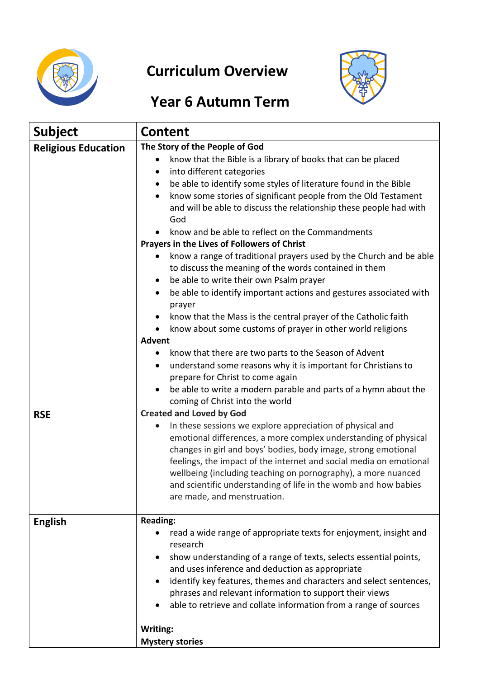

# **Curriculum Overview**



# **Year 6 Autumn Term**

| <b>Subject</b>             | <b>Content</b>                                                                                                                                                                                                                                                                                                                                                                                                                                                                                                                                                                                                                                                                                                             |  |  |
|----------------------------|----------------------------------------------------------------------------------------------------------------------------------------------------------------------------------------------------------------------------------------------------------------------------------------------------------------------------------------------------------------------------------------------------------------------------------------------------------------------------------------------------------------------------------------------------------------------------------------------------------------------------------------------------------------------------------------------------------------------------|--|--|
| <b>Religious Education</b> | The Story of the People of God<br>know that the Bible is a library of books that can be placed<br>into different categories<br>$\bullet$<br>be able to identify some styles of literature found in the Bible<br>٠<br>know some stories of significant people from the Old Testament<br>$\bullet$<br>and will be able to discuss the relationship these people had with                                                                                                                                                                                                                                                                                                                                                     |  |  |
|                            | God<br>know and be able to reflect on the Commandments<br>Prayers in the Lives of Followers of Christ<br>know a range of traditional prayers used by the Church and be able<br>to discuss the meaning of the words contained in them<br>be able to write their own Psalm prayer<br>be able to identify important actions and gestures associated with<br>$\bullet$<br>prayer<br>know that the Mass is the central prayer of the Catholic faith<br>$\bullet$<br>know about some customs of prayer in other world religions<br><b>Advent</b><br>know that there are two parts to the Season of Advent<br>٠<br>understand some reasons why it is important for Christians to<br>$\bullet$<br>prepare for Christ to come again |  |  |
|                            | be able to write a modern parable and parts of a hymn about the<br>$\bullet$<br>coming of Christ into the world                                                                                                                                                                                                                                                                                                                                                                                                                                                                                                                                                                                                            |  |  |
| <b>RSE</b>                 | <b>Created and Loved by God</b><br>In these sessions we explore appreciation of physical and<br>$\bullet$<br>emotional differences, a more complex understanding of physical<br>changes in girl and boys' bodies, body image, strong emotional<br>feelings, the impact of the internet and social media on emotional<br>wellbeing (including teaching on pornography), a more nuanced<br>and scientific understanding of life in the womb and how babies<br>are made, and menstruation.                                                                                                                                                                                                                                    |  |  |
| <b>English</b>             | <b>Reading:</b><br>read a wide range of appropriate texts for enjoyment, insight and<br>research<br>show understanding of a range of texts, selects essential points,<br>and uses inference and deduction as appropriate<br>identify key features, themes and characters and select sentences,<br>phrases and relevant information to support their views<br>able to retrieve and collate information from a range of sources<br>Writing:<br><b>Mystery stories</b>                                                                                                                                                                                                                                                        |  |  |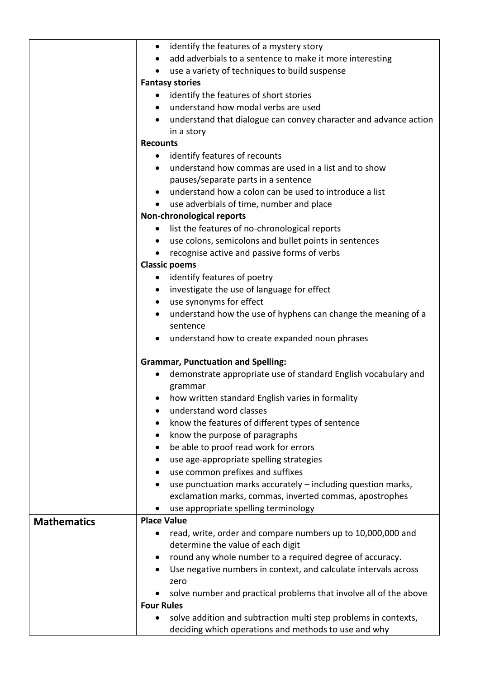|                    | identify the features of a mystery story<br>$\bullet$                                                                   |  |  |
|--------------------|-------------------------------------------------------------------------------------------------------------------------|--|--|
|                    | add adverbials to a sentence to make it more interesting                                                                |  |  |
|                    | use a variety of techniques to build suspense                                                                           |  |  |
|                    | <b>Fantasy stories</b>                                                                                                  |  |  |
|                    | identify the features of short stories                                                                                  |  |  |
|                    | understand how modal verbs are used                                                                                     |  |  |
|                    | understand that dialogue can convey character and advance action<br>$\bullet$                                           |  |  |
|                    | in a story                                                                                                              |  |  |
|                    | <b>Recounts</b>                                                                                                         |  |  |
|                    | identify features of recounts<br>$\bullet$                                                                              |  |  |
|                    | understand how commas are used in a list and to show                                                                    |  |  |
|                    | pauses/separate parts in a sentence                                                                                     |  |  |
|                    | understand how a colon can be used to introduce a list                                                                  |  |  |
|                    | use adverbials of time, number and place                                                                                |  |  |
|                    | Non-chronological reports                                                                                               |  |  |
|                    | list the features of no-chronological reports<br>$\bullet$                                                              |  |  |
|                    | • use colons, semicolons and bullet points in sentences                                                                 |  |  |
|                    | recognise active and passive forms of verbs                                                                             |  |  |
|                    | <b>Classic poems</b>                                                                                                    |  |  |
|                    | identify features of poetry                                                                                             |  |  |
|                    | • investigate the use of language for effect                                                                            |  |  |
|                    | use synonyms for effect<br>$\bullet$                                                                                    |  |  |
|                    | understand how the use of hyphens can change the meaning of a                                                           |  |  |
|                    | sentence                                                                                                                |  |  |
|                    | • understand how to create expanded noun phrases                                                                        |  |  |
|                    |                                                                                                                         |  |  |
|                    | <b>Grammar, Punctuation and Spelling:</b>                                                                               |  |  |
|                    | demonstrate appropriate use of standard English vocabulary and                                                          |  |  |
|                    | grammar                                                                                                                 |  |  |
|                    | how written standard English varies in formality                                                                        |  |  |
|                    | understand word classes                                                                                                 |  |  |
|                    | know the features of different types of sentence                                                                        |  |  |
|                    | know the purpose of paragraphs                                                                                          |  |  |
|                    | be able to proof read work for errors                                                                                   |  |  |
|                    | use age-appropriate spelling strategies                                                                                 |  |  |
|                    | use common prefixes and suffixes                                                                                        |  |  |
|                    | use punctuation marks accurately - including question marks,                                                            |  |  |
|                    | exclamation marks, commas, inverted commas, apostrophes                                                                 |  |  |
|                    | use appropriate spelling terminology                                                                                    |  |  |
| <b>Mathematics</b> | <b>Place Value</b>                                                                                                      |  |  |
|                    | read, write, order and compare numbers up to 10,000,000 and                                                             |  |  |
|                    | determine the value of each digit                                                                                       |  |  |
|                    | round any whole number to a required degree of accuracy.                                                                |  |  |
|                    | Use negative numbers in context, and calculate intervals across                                                         |  |  |
|                    | zero                                                                                                                    |  |  |
|                    | solve number and practical problems that involve all of the above                                                       |  |  |
|                    | <b>Four Rules</b>                                                                                                       |  |  |
|                    | solve addition and subtraction multi step problems in contexts,<br>deciding which operations and methods to use and why |  |  |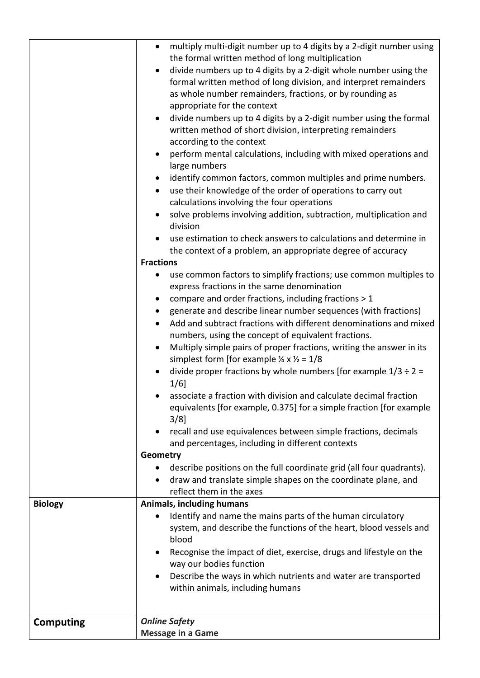| <b>Biology</b>   | multiply multi-digit number up to 4 digits by a 2-digit number using<br>$\bullet$<br>the formal written method of long multiplication<br>divide numbers up to 4 digits by a 2-digit whole number using the<br>$\bullet$<br>formal written method of long division, and interpret remainders<br>as whole number remainders, fractions, or by rounding as<br>appropriate for the context<br>divide numbers up to 4 digits by a 2-digit number using the formal<br>$\bullet$<br>written method of short division, interpreting remainders<br>according to the context<br>perform mental calculations, including with mixed operations and<br>large numbers<br>identify common factors, common multiples and prime numbers.<br>$\bullet$<br>use their knowledge of the order of operations to carry out<br>$\bullet$<br>calculations involving the four operations<br>solve problems involving addition, subtraction, multiplication and<br>division<br>use estimation to check answers to calculations and determine in<br>the context of a problem, an appropriate degree of accuracy<br><b>Fractions</b><br>use common factors to simplify fractions; use common multiples to<br>$\bullet$<br>express fractions in the same denomination<br>compare and order fractions, including fractions > 1<br>$\bullet$<br>generate and describe linear number sequences (with fractions)<br>$\bullet$<br>Add and subtract fractions with different denominations and mixed<br>numbers, using the concept of equivalent fractions.<br>Multiply simple pairs of proper fractions, writing the answer in its<br>simplest form [for example $\frac{1}{4} \times \frac{1}{2} = 1/8$<br>divide proper fractions by whole numbers [for example $1/3 \div 2 =$<br>$1/6$ ]<br>associate a fraction with division and calculate decimal fraction<br>equivalents [for example, 0.375] for a simple fraction [for example<br>$3/8$ ]<br>recall and use equivalences between simple fractions, decimals<br>$\bullet$<br>and percentages, including in different contexts<br>Geometry<br>describe positions on the full coordinate grid (all four quadrants).<br>$\bullet$<br>draw and translate simple shapes on the coordinate plane, and<br>$\bullet$<br>reflect them in the axes<br>Animals, including humans<br>Identify and name the mains parts of the human circulatory<br>$\bullet$ |
|------------------|----------------------------------------------------------------------------------------------------------------------------------------------------------------------------------------------------------------------------------------------------------------------------------------------------------------------------------------------------------------------------------------------------------------------------------------------------------------------------------------------------------------------------------------------------------------------------------------------------------------------------------------------------------------------------------------------------------------------------------------------------------------------------------------------------------------------------------------------------------------------------------------------------------------------------------------------------------------------------------------------------------------------------------------------------------------------------------------------------------------------------------------------------------------------------------------------------------------------------------------------------------------------------------------------------------------------------------------------------------------------------------------------------------------------------------------------------------------------------------------------------------------------------------------------------------------------------------------------------------------------------------------------------------------------------------------------------------------------------------------------------------------------------------------------------------------------------------------------------------------------------------------------------------------------------------------------------------------------------------------------------------------------------------------------------------------------------------------------------------------------------------------------------------------------------------------------------------------------------------------------------------------------------------------------------------------------------------------------------------------------|
|                  |                                                                                                                                                                                                                                                                                                                                                                                                                                                                                                                                                                                                                                                                                                                                                                                                                                                                                                                                                                                                                                                                                                                                                                                                                                                                                                                                                                                                                                                                                                                                                                                                                                                                                                                                                                                                                                                                                                                                                                                                                                                                                                                                                                                                                                                                                                                                                                      |
|                  | system, and describe the functions of the heart, blood vessels and<br>blood<br>Recognise the impact of diet, exercise, drugs and lifestyle on the<br>٠<br>way our bodies function<br>Describe the ways in which nutrients and water are transported<br>$\bullet$<br>within animals, including humans                                                                                                                                                                                                                                                                                                                                                                                                                                                                                                                                                                                                                                                                                                                                                                                                                                                                                                                                                                                                                                                                                                                                                                                                                                                                                                                                                                                                                                                                                                                                                                                                                                                                                                                                                                                                                                                                                                                                                                                                                                                                 |
| <b>Computing</b> | <b>Online Safety</b><br><b>Message in a Game</b>                                                                                                                                                                                                                                                                                                                                                                                                                                                                                                                                                                                                                                                                                                                                                                                                                                                                                                                                                                                                                                                                                                                                                                                                                                                                                                                                                                                                                                                                                                                                                                                                                                                                                                                                                                                                                                                                                                                                                                                                                                                                                                                                                                                                                                                                                                                     |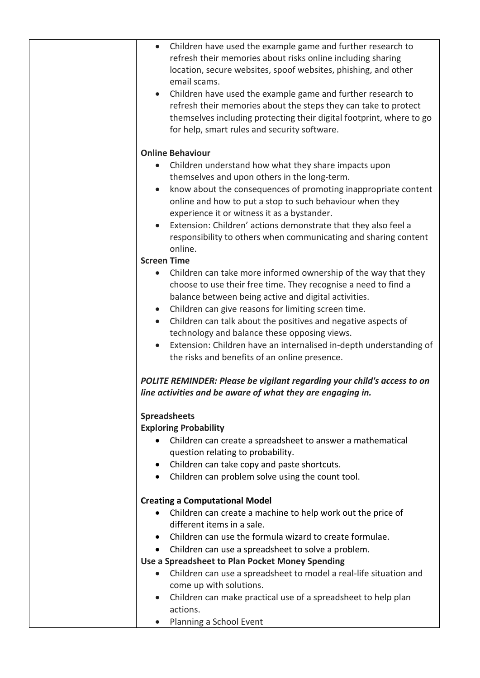| $\bullet$              | Children have used the example game and further research to                                                 |
|------------------------|-------------------------------------------------------------------------------------------------------------|
|                        | refresh their memories about risks online including sharing                                                 |
|                        | location, secure websites, spoof websites, phishing, and other                                              |
|                        | email scams.                                                                                                |
| $\bullet$              | Children have used the example game and further research to                                                 |
|                        | refresh their memories about the steps they can take to protect                                             |
|                        | themselves including protecting their digital footprint, where to go                                        |
|                        | for help, smart rules and security software.                                                                |
|                        | <b>Online Behaviour</b>                                                                                     |
|                        | Children understand how what they share impacts upon                                                        |
|                        | themselves and upon others in the long-term.                                                                |
| $\bullet$              | know about the consequences of promoting inappropriate content                                              |
|                        | online and how to put a stop to such behaviour when they                                                    |
|                        | experience it or witness it as a bystander.                                                                 |
|                        | Extension: Children' actions demonstrate that they also feel a                                              |
|                        | responsibility to others when communicating and sharing content                                             |
|                        | online.                                                                                                     |
|                        | <b>Screen Time</b>                                                                                          |
| $\bullet$              | Children can take more informed ownership of the way that they                                              |
|                        | choose to use their free time. They recognise a need to find a                                              |
|                        | balance between being active and digital activities.<br>Children can give reasons for limiting screen time. |
| $\bullet$<br>$\bullet$ | Children can talk about the positives and negative aspects of                                               |
|                        | technology and balance these opposing views.                                                                |
| $\bullet$              | Extension: Children have an internalised in-depth understanding of                                          |
|                        | the risks and benefits of an online presence.                                                               |
|                        | POLITE REMINDER: Please be vigilant regarding your child's access to on                                     |
|                        | line activities and be aware of what they are engaging in.                                                  |
|                        | <b>Spreadsheets</b>                                                                                         |
|                        | <b>Exploring Probability</b>                                                                                |
|                        |                                                                                                             |
|                        | Children can create a spreadsheet to answer a mathematical                                                  |
|                        | question relating to probability.                                                                           |
| $\bullet$              | Children can take copy and paste shortcuts.                                                                 |
| $\bullet$              | Children can problem solve using the count tool.                                                            |
|                        | <b>Creating a Computational Model</b>                                                                       |
|                        | Children can create a machine to help work out the price of                                                 |
|                        | different items in a sale.                                                                                  |
|                        | Children can use the formula wizard to create formulae.                                                     |
| $\bullet$              | Children can use a spreadsheet to solve a problem.                                                          |
|                        | Use a Spreadsheet to Plan Pocket Money Spending                                                             |
| $\bullet$              | Children can use a spreadsheet to model a real-life situation and                                           |
|                        | come up with solutions.                                                                                     |
| $\bullet$              | Children can make practical use of a spreadsheet to help plan                                               |
| $\bullet$              | actions.<br>Planning a School Event                                                                         |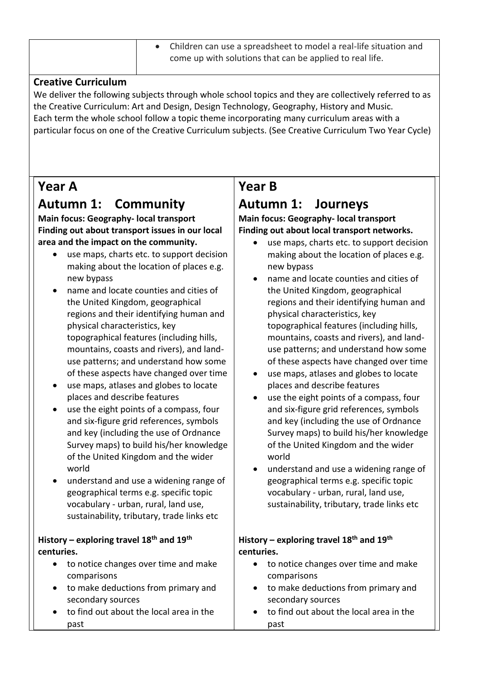|  | • Children can use a spreadsheet to model a real-life situation and |
|--|---------------------------------------------------------------------|
|  | come up with solutions that can be applied to real life.            |

#### **Creative Curriculum**

We deliver the following subjects through whole school topics and they are collectively referred to as the Creative Curriculum: Art and Design, Design Technology, Geography, History and Music. Each term the whole school follow a topic theme incorporating many curriculum areas with a particular focus on one of the Creative Curriculum subjects. (See Creative Curriculum Two Year Cycle)

### **Year A**

## **Autumn 1: Community**

**Main focus: Geography- local transport Finding out about transport issues in our local area and the impact on the community.**

- use maps, charts etc. to support decision making about the location of places e.g. new bypass
- name and locate counties and cities of the United Kingdom, geographical regions and their identifying human and physical characteristics, key topographical features (including hills, mountains, coasts and rivers), and landuse patterns; and understand how some of these aspects have changed over time
- use maps, atlases and globes to locate places and describe features
- use the eight points of a compass, four and six-figure grid references, symbols and key (including the use of Ordnance Survey maps) to build his/her knowledge of the United Kingdom and the wider world
- understand and use a widening range of geographical terms e.g. specific topic vocabulary - urban, rural, land use, sustainability, tributary, trade links etc

#### **History – exploring travel 18th and 19th centuries.**

- to notice changes over time and make comparisons
- to make deductions from primary and secondary sources
- to find out about the local area in the past

### **Year B**

## **Autumn 1: Journeys**

#### **Main focus: Geography- local transport Finding out about local transport networks.**

- use maps, charts etc. to support decision making about the location of places e.g. new bypass
- name and locate counties and cities of the United Kingdom, geographical regions and their identifying human and physical characteristics, key topographical features (including hills, mountains, coasts and rivers), and landuse patterns; and understand how some of these aspects have changed over time
- use maps, atlases and globes to locate places and describe features
- use the eight points of a compass, four and six-figure grid references, symbols and key (including the use of Ordnance Survey maps) to build his/her knowledge of the United Kingdom and the wider world
- understand and use a widening range of geographical terms e.g. specific topic vocabulary - urban, rural, land use, sustainability, tributary, trade links etc

#### **History – exploring travel 18th and 19th centuries.**

- to notice changes over time and make comparisons
- to make deductions from primary and secondary sources
- to find out about the local area in the past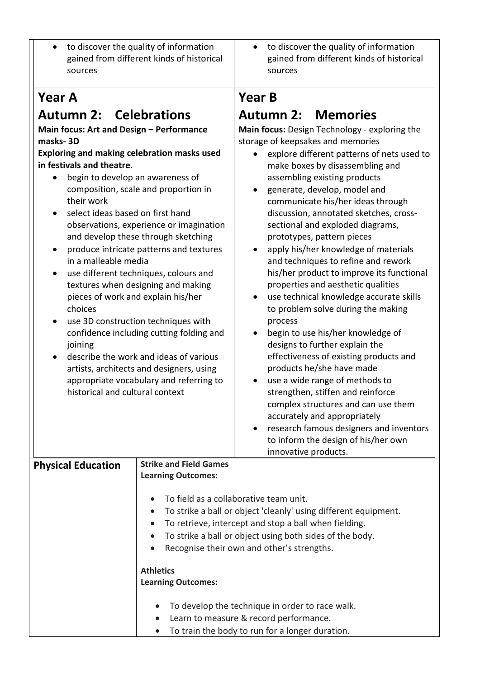| to discover the quality of information<br>$\bullet$<br>gained from different kinds of historical<br>sources                                                                                                                                                                                                                                                                                                                                                                                                                                                                                                                                                                                                                                                                                                                                                         |                               | to discover the quality of information<br>$\bullet$<br>gained from different kinds of historical<br>sources                                                                                                                                                                                                                                                                                                                                                                                                                                                                                                                                                                                                                                                                                                                                                                                                                                                                                                                                                                |
|---------------------------------------------------------------------------------------------------------------------------------------------------------------------------------------------------------------------------------------------------------------------------------------------------------------------------------------------------------------------------------------------------------------------------------------------------------------------------------------------------------------------------------------------------------------------------------------------------------------------------------------------------------------------------------------------------------------------------------------------------------------------------------------------------------------------------------------------------------------------|-------------------------------|----------------------------------------------------------------------------------------------------------------------------------------------------------------------------------------------------------------------------------------------------------------------------------------------------------------------------------------------------------------------------------------------------------------------------------------------------------------------------------------------------------------------------------------------------------------------------------------------------------------------------------------------------------------------------------------------------------------------------------------------------------------------------------------------------------------------------------------------------------------------------------------------------------------------------------------------------------------------------------------------------------------------------------------------------------------------------|
| <b>Year A</b>                                                                                                                                                                                                                                                                                                                                                                                                                                                                                                                                                                                                                                                                                                                                                                                                                                                       |                               | <b>Year B</b>                                                                                                                                                                                                                                                                                                                                                                                                                                                                                                                                                                                                                                                                                                                                                                                                                                                                                                                                                                                                                                                              |
| <b>Autumn 2: Celebrations</b><br>Main focus: Art and Design - Performance<br>masks-3D<br>Exploring and making celebration masks used<br>in festivals and theatre.<br>begin to develop an awareness of<br>composition, scale and proportion in<br>their work<br>select ideas based on first hand<br>observations, experience or imagination<br>and develop these through sketching<br>produce intricate patterns and textures<br>in a malleable media<br>use different techniques, colours and<br>$\bullet$<br>textures when designing and making<br>pieces of work and explain his/her<br>choices<br>use 3D construction techniques with<br>confidence including cutting folding and<br>joining<br>describe the work and ideas of various<br>artists, architects and designers, using<br>appropriate vocabulary and referring to<br>historical and cultural context |                               | <b>Autumn 2: Memories</b><br>Main focus: Design Technology - exploring the<br>storage of keepsakes and memories<br>explore different patterns of nets used to<br>make boxes by disassembling and<br>assembling existing products<br>generate, develop, model and<br>communicate his/her ideas through<br>discussion, annotated sketches, cross-<br>sectional and exploded diagrams,<br>prototypes, pattern pieces<br>apply his/her knowledge of materials<br>$\bullet$<br>and techniques to refine and rework<br>his/her product to improve its functional<br>properties and aesthetic qualities<br>use technical knowledge accurate skills<br>to problem solve during the making<br>process<br>begin to use his/her knowledge of<br>designs to further explain the<br>effectiveness of existing products and<br>products he/she have made<br>use a wide range of methods to<br>strengthen, stiffen and reinforce<br>complex structures and can use them<br>accurately and appropriately<br>research famous designers and inventors<br>to inform the design of his/her own |
|                                                                                                                                                                                                                                                                                                                                                                                                                                                                                                                                                                                                                                                                                                                                                                                                                                                                     | <b>Strike and Field Games</b> | innovative products.                                                                                                                                                                                                                                                                                                                                                                                                                                                                                                                                                                                                                                                                                                                                                                                                                                                                                                                                                                                                                                                       |
| <b>Physical Education</b>                                                                                                                                                                                                                                                                                                                                                                                                                                                                                                                                                                                                                                                                                                                                                                                                                                           | <b>Learning Outcomes:</b>     |                                                                                                                                                                                                                                                                                                                                                                                                                                                                                                                                                                                                                                                                                                                                                                                                                                                                                                                                                                                                                                                                            |
|                                                                                                                                                                                                                                                                                                                                                                                                                                                                                                                                                                                                                                                                                                                                                                                                                                                                     |                               | To field as a collaborative team unit.<br>To strike a ball or object 'cleanly' using different equipment.                                                                                                                                                                                                                                                                                                                                                                                                                                                                                                                                                                                                                                                                                                                                                                                                                                                                                                                                                                  |
|                                                                                                                                                                                                                                                                                                                                                                                                                                                                                                                                                                                                                                                                                                                                                                                                                                                                     |                               | To retrieve, intercept and stop a ball when fielding.                                                                                                                                                                                                                                                                                                                                                                                                                                                                                                                                                                                                                                                                                                                                                                                                                                                                                                                                                                                                                      |
|                                                                                                                                                                                                                                                                                                                                                                                                                                                                                                                                                                                                                                                                                                                                                                                                                                                                     |                               | To strike a ball or object using both sides of the body.                                                                                                                                                                                                                                                                                                                                                                                                                                                                                                                                                                                                                                                                                                                                                                                                                                                                                                                                                                                                                   |
|                                                                                                                                                                                                                                                                                                                                                                                                                                                                                                                                                                                                                                                                                                                                                                                                                                                                     |                               | Recognise their own and other's strengths.                                                                                                                                                                                                                                                                                                                                                                                                                                                                                                                                                                                                                                                                                                                                                                                                                                                                                                                                                                                                                                 |
|                                                                                                                                                                                                                                                                                                                                                                                                                                                                                                                                                                                                                                                                                                                                                                                                                                                                     | <b>Athletics</b>              |                                                                                                                                                                                                                                                                                                                                                                                                                                                                                                                                                                                                                                                                                                                                                                                                                                                                                                                                                                                                                                                                            |
|                                                                                                                                                                                                                                                                                                                                                                                                                                                                                                                                                                                                                                                                                                                                                                                                                                                                     | <b>Learning Outcomes:</b>     |                                                                                                                                                                                                                                                                                                                                                                                                                                                                                                                                                                                                                                                                                                                                                                                                                                                                                                                                                                                                                                                                            |
|                                                                                                                                                                                                                                                                                                                                                                                                                                                                                                                                                                                                                                                                                                                                                                                                                                                                     |                               | To develop the technique in order to race walk.                                                                                                                                                                                                                                                                                                                                                                                                                                                                                                                                                                                                                                                                                                                                                                                                                                                                                                                                                                                                                            |
|                                                                                                                                                                                                                                                                                                                                                                                                                                                                                                                                                                                                                                                                                                                                                                                                                                                                     |                               | Learn to measure & record performance.                                                                                                                                                                                                                                                                                                                                                                                                                                                                                                                                                                                                                                                                                                                                                                                                                                                                                                                                                                                                                                     |
|                                                                                                                                                                                                                                                                                                                                                                                                                                                                                                                                                                                                                                                                                                                                                                                                                                                                     | $\bullet$                     | To train the body to run for a longer duration.                                                                                                                                                                                                                                                                                                                                                                                                                                                                                                                                                                                                                                                                                                                                                                                                                                                                                                                                                                                                                            |